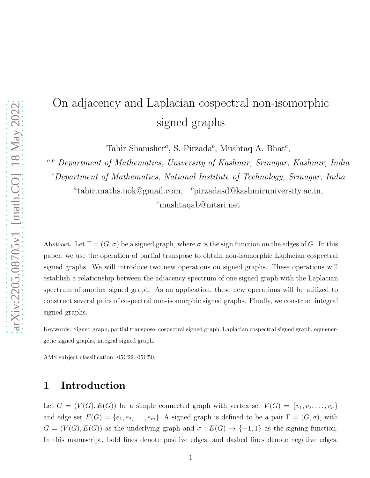# On adjacency and Laplacian cospectral non-isomorphic signed graphs

Tahir Shamsher<sup>a</sup>, S. Pirzada<sup>b</sup>, Mushtaq A. Bhat<sup>c</sup>,

a,b Department of Mathematics, University of Kashmir, Srinagar, Kashmir, India  $c$ Department of Mathematics, National Institute of Technology, Srinagar, India

 ${}^a$ tahir.maths.uok@gmail.com,  ${}^b$ pirzadasd@kashmiruniversity.ac.in,

<sup>c</sup>mushtaqab@nitsri.net

Abstract. Let  $\Gamma = (G, \sigma)$  be a signed graph, where  $\sigma$  is the sign function on the edges of G. In this paper, we use the operation of partial transpose to obtain non-isomorphic Laplacian cospectral signed graphs. We will introduce two new operations on signed graphs. These operations will establish a relationship between the adjacency spectrum of one signed graph with the Laplacian spectrum of another signed graph. As an application, these new operations will be utilized to construct several pairs of cospectral non-isomorphic signed graphs. Finally, we construct integral signed graphs.

Keywords: Signed graph, partial transpose, cospectral signed graph, Laplacian cospectral signed graph, equienergetic signed graphs, integral signed graph.

AMS subject classification: 05C22, 05C50.

### 1 Introduction

Let  $G = (V(G), E(G))$  be a simple connected graph with vertex set  $V(G) = \{v_1, v_2, \ldots, v_n\}$ and edge set  $E(G) = \{e_1, e_2, \ldots, e_m\}$ . A signed graph is defined to be a pair  $\Gamma = (G, \sigma)$ , with  $G = (V(G), E(G))$  as the underlying graph and  $\sigma : E(G) \to \{-1,1\}$  as the signing function. In this manuscript, bold lines denote positive edges, and dashed lines denote negative edges.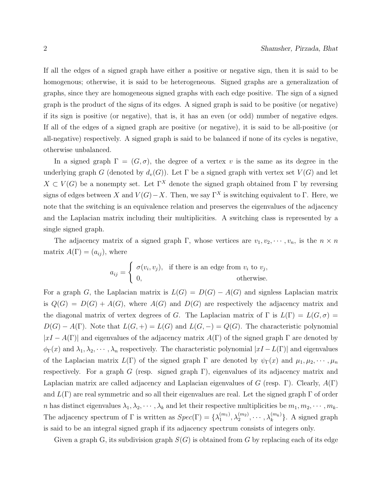If all the edges of a signed graph have either a positive or negative sign, then it is said to be homogenous; otherwise, it is said to be heterogeneous. Signed graphs are a generalization of graphs, since they are homogeneous signed graphs with each edge positive. The sign of a signed graph is the product of the signs of its edges. A signed graph is said to be positive (or negative) if its sign is positive (or negative), that is, it has an even (or odd) number of negative edges. If all of the edges of a signed graph are positive (or negative), it is said to be all-positive (or all-negative) respectively. A signed graph is said to be balanced if none of its cycles is negative, otherwise unbalanced.

In a signed graph  $\Gamma = (G, \sigma)$ , the degree of a vertex v is the same as its degree in the underlying graph G (denoted by  $d_v(G)$ ). Let  $\Gamma$  be a signed graph with vertex set  $V(G)$  and let  $X \subset V(G)$  be a nonempty set. Let  $\Gamma^X$  denote the signed graph obtained from  $\Gamma$  by reversing signs of edges between X and  $V(G) - X$ . Then, we say Γ<sup>X</sup> is switching equivalent to Γ. Here, we note that the switching is an equivalence relation and preserves the eigenvalues of the adjacency and the Laplacian matrix including their multiplicities. A switching class is represented by a single signed graph.

The adjacency matrix of a signed graph Γ, whose vertices are  $v_1, v_2, \dots, v_n$ , is the  $n \times n$ matrix  $A(\Gamma) = (a_{ij})$ , where

$$
a_{ij} = \begin{cases} \sigma(v_i, v_j), & \text{if there is an edge from } v_i \text{ to } v_j, \\ 0, & \text{otherwise.} \end{cases}
$$

For a graph G, the Laplacian matrix is  $L(G) = D(G) - A(G)$  and signless Laplacian matrix is  $Q(G) = D(G) + A(G)$ , where  $A(G)$  and  $D(G)$  are respectively the adjacency matrix and the diagonal matrix of vertex degrees of G. The Laplacian matrix of  $\Gamma$  is  $L(\Gamma) = L(G, \sigma)$  $D(G) - A(\Gamma)$ . Note that  $L(G, +) = L(G)$  and  $L(G, -) = Q(G)$ . The characteristic polynomial  $|xI - A(\Gamma)|$  and eigenvalues of the adjacency matrix  $A(\Gamma)$  of the signed graph  $\Gamma$  are denoted by  $\phi_{\Gamma}(x)$  and  $\lambda_1, \lambda_2, \cdots, \lambda_n$  respectively. The characteristic polynomial  $|xI-L(\Gamma)|$  and eigenvalues of the Laplacian matrix  $L(\Gamma)$  of the signed graph  $\Gamma$  are denoted by  $\psi_{\Gamma}(x)$  and  $\mu_1, \mu_2, \cdots, \mu_n$ respectively. For a graph G (resp. signed graph  $\Gamma$ ), eigenvalues of its adjacency matrix and Laplacian matrix are called adjacency and Laplacian eigenvalues of G (resp. Γ). Clearly,  $A(\Gamma)$ and  $L(\Gamma)$  are real symmetric and so all their eigenvalues are real. Let the signed graph  $\Gamma$  of order n has distinct eigenvalues  $\lambda_1, \lambda_2, \cdots, \lambda_k$  and let their respective multiplicities be  $m_1, m_2, \cdots, m_k$ . The adjacency spectrum of  $\Gamma$  is written as  $Spec(\Gamma) = {\lambda_1^{(m_1)}}$  $\{\binom{m_1}{1}, \lambda_2^{(m_2)}, \cdots, \lambda_k^{(m_k)}\}$ . A signed graph is said to be an integral signed graph if its adjacency spectrum consists of integers only.

Given a graph G, its subdivision graph  $S(G)$  is obtained from G by replacing each of its edge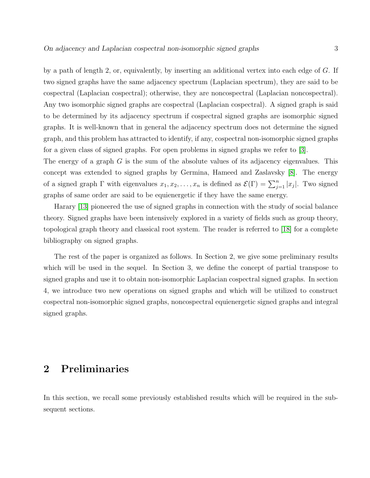by a path of length 2, or, equivalently, by inserting an additional vertex into each edge of G. If two signed graphs have the same adjacency spectrum (Laplacian spectrum), they are said to be cospectral (Laplacian cospectral); otherwise, they are noncospectral (Laplacian noncospectral). Any two isomorphic signed graphs are cospectral (Laplacian cospectral). A signed graph is said to be determined by its adjacency spectrum if cospectral signed graphs are isomorphic signed graphs. It is well-known that in general the adjacency spectrum does not determine the signed graph, and this problem has attracted to identify, if any, cospectral non-isomorphic signed graphs for a given class of signed graphs. For open problems in signed graphs we refer to [\[3\]](#page-21-0).

The energy of a graph  $G$  is the sum of the absolute values of its adjacency eigenvalues. This concept was extended to signed graphs by Germina, Hameed and Zaslavsky [\[8\]](#page-21-1). The energy of a signed graph  $\Gamma$  with eigenvalues  $x_1, x_2, \ldots, x_n$  is defined as  $\mathcal{E}(\Gamma) = \sum_{j=1}^n |x_j|$ . Two signed graphs of same order are said to be equienergetic if they have the same energy.

Harary [\[13\]](#page-21-2) pioneered the use of signed graphs in connection with the study of social balance theory. Signed graphs have been intensively explored in a variety of fields such as group theory, topological graph theory and classical root system. The reader is referred to [\[18\]](#page-22-0) for a complete bibliography on signed graphs.

The rest of the paper is organized as follows. In Section 2, we give some preliminary results which will be used in the sequel. In Section 3, we define the concept of partial transpose to signed graphs and use it to obtain non-isomorphic Laplacian cospectral signed graphs. In section 4, we introduce two new operations on signed graphs and which will be utilized to construct cospectral non-isomorphic signed graphs, noncospectral equienergetic signed graphs and integral signed graphs.

#### 2 Preliminaries

In this section, we recall some previously established results which will be required in the subsequent sections.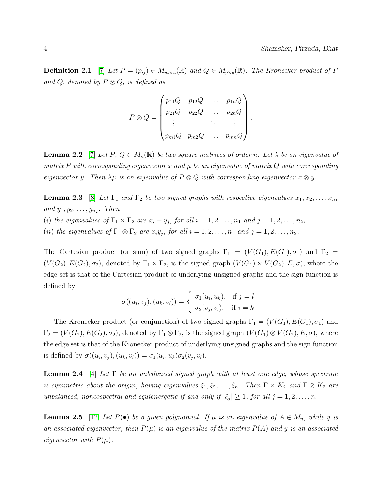.

**Definition 2.1** [\[7\]](#page-21-3) Let  $P = (p_{ij}) \in M_{m \times n}(\mathbb{R})$  and  $Q \in M_{p \times q}(\mathbb{R})$ . The Kronecker product of P and Q, denoted by  $P \otimes Q$ , is defined as

$$
P \otimes Q = \begin{pmatrix} p_{11}Q & p_{12}Q & \dots & p_{1n}Q \\ p_{21}Q & p_{22}Q & \dots & p_{2n}Q \\ \vdots & \vdots & \ddots & \vdots \\ p_{m1}Q & p_{m2}Q & \dots & p_{mn}Q \end{pmatrix}
$$

<span id="page-3-0"></span>**Lemma 2.2** [\[7\]](#page-21-3) Let P,  $Q \in M_n(\mathbb{R})$  be two square matrices of order n. Let  $\lambda$  be an eigenvalue of matrix P with corresponding eigenvector x and  $\mu$  be an eigenvalue of matrix Q with corresponding eigenvector y. Then  $\lambda \mu$  is an eigenvalue of  $P \otimes Q$  with corresponding eigenvector  $x \otimes y$ .

**Lemma 2.3** [\[8\]](#page-21-1) Let  $\Gamma_1$  and  $\Gamma_2$  be two signed graphs with respective eigenvalues  $x_1, x_2, \ldots, x_{n_1}$ and  $y_1, y_2, \ldots, y_{n_2}$ . Then

- (i) the eigenvalues of  $\Gamma_1 \times \Gamma_2$  are  $x_i + y_j$ , for all  $i = 1, 2, ..., n_1$  and  $j = 1, 2, ..., n_2$ ,
- (ii) the eigenvalues of  $\Gamma_1 \otimes \Gamma_2$  are  $x_i y_j$ , for all  $i = 1, 2, \ldots, n_1$  and  $j = 1, 2, \ldots, n_2$ .

The Cartesian product (or sum) of two signed graphs  $\Gamma_1 = (V(G_1), E(G_1), \sigma_1)$  and  $\Gamma_2 =$  $(V(G_2), E(G_2), \sigma_2)$ , denoted by  $\Gamma_1 \times \Gamma_2$ , is the signed graph  $(V(G_1) \times V(G_2), E, \sigma)$ , where the edge set is that of the Cartesian product of underlying unsigned graphs and the sign function is defined by

<span id="page-3-3"></span>
$$
\sigma((u_i, v_j), (u_k, v_l)) = \begin{cases} \sigma_1(u_i, u_k), & \text{if } j = l, \\ \sigma_2(v_j, v_l), & \text{if } i = k. \end{cases}
$$

The Kronecker product (or conjunction) of two signed graphs  $\Gamma_1 = (V(G_1), E(G_1), \sigma_1)$  and  $\Gamma_2 = (V(G_2), E(G_2), \sigma_2)$ , denoted by  $\Gamma_1 \otimes \Gamma_2$ , is the signed graph  $(V(G_1) \otimes V(G_2), E, \sigma)$ , where the edge set is that of the Kronecker product of underlying unsigned graphs and the sign function is defined by  $\sigma((u_i, v_j), (u_k, v_l)) = \sigma_1(u_i, u_k)\sigma_2(v_j, v_l).$ 

**Lemma 2.4** [\[4\]](#page-21-4) Let  $\Gamma$  be an unbalanced signed graph with at least one edge, whose spectrum is symmetric about the origin, having eigenvalues  $\xi_1, \xi_2, \ldots, \xi_n$ . Then  $\Gamma \times K_2$  and  $\Gamma \otimes K_2$  are unbalanced, noncospectral and equienergetic if and only if  $|\xi_j| \geq 1$ , for all  $j = 1, 2, ..., n$ .

<span id="page-3-2"></span><span id="page-3-1"></span>**Lemma 2.5** [\[12\]](#page-21-5) Let  $P(\bullet)$  be a given polynomial. If  $\mu$  is an eigenvalue of  $A \in M_n$ , while y is an associated eigenvector, then  $P(\mu)$  is an eigenvalue of the matrix  $P(A)$  and y is an associated eigenvector with  $P(\mu)$ .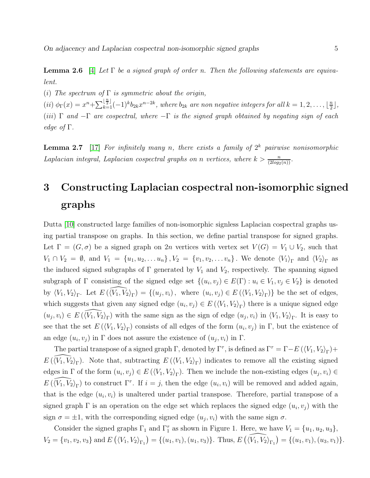**Lemma 2.6** [\[4\]](#page-21-4) Let  $\Gamma$  be a signed graph of order n. Then the following statements are equivalent.

(i) The spectrum of  $\Gamma$  is symmetric about the origin,

 $(iii)$   $\phi_{\Gamma}(x) = x^{n} + \sum_{k=1}^{\lfloor \frac{n}{2} \rfloor} (-1)^{k} b_{2k} x^{n-2k}$ , where  $b_{2k}$  are non negative integers for all  $k = 1, 2, ..., \lfloor \frac{n}{2} \rfloor$  $\frac{n}{2}$ , (iii)  $\Gamma$  and  $-\Gamma$  are cospectral, where  $-\Gamma$  is the signed graph obtained by negating sign of each edge of  $\Gamma$ .

<span id="page-4-0"></span>**Lemma 2.7** [\[17\]](#page-22-1) For infinitely many n, there exists a family of  $2^k$  pairwise nonisomorphic Laplacian integral, Laplacian cospectral graphs on n vertices, where  $k > \frac{n}{(2log_2(n))}$ .

### 3 Constructing Laplacian cospectral non-isomorphic signed graphs

Dutta [\[10\]](#page-21-6) constructed large families of non-isomorphic signless Laplacian cospectral graphs using partial transpose on graphs. In this section, we define partial transpose for signed graphs. Let  $\Gamma = (G, \sigma)$  be a signed graph on 2n vertices with vertex set  $V(G) = V_1 \cup V_2$ , such that  $V_1 \cap V_2 = \emptyset$ , and  $V_1 = \{u_1, u_2, \ldots u_n\}$ ,  $V_2 = \{v_1, v_2, \ldots v_n\}$ . We denote  $\langle V_1 \rangle_{\Gamma}$  and  $\langle V_2 \rangle_{\Gamma}$  as the induced signed subgraphs of  $\Gamma$  generated by  $V_1$  and  $V_2$ , respectively. The spanning signed subgraph of  $\Gamma$  consisting of the signed edge set  $\{(u_i, v_j) \in E(\Gamma) : u_i \in V_1, v_j \in V_2\}$  is denoted by  $\langle V_1, V_2 \rangle_{\Gamma}$ . Let  $E(\widehat{\langle V_1, V_2 \rangle_{\Gamma}}) = \{ (u_j, v_i), \text{ where } (u_i, v_j) \in E(\langle V_1, V_2 \rangle_{\Gamma}) \}$  be the set of edges, which suggests that given any signed edge  $(u_i, v_j) \in E(\langle V_1, V_2 \rangle_{\Gamma})$  there is a unique signed edge  $(u_j, v_i) \in E(\widehat{\langle V_1, V_2 \rangle}_{\Gamma})$  with the same sign as the sign of edge  $(u_j, v_i)$  in  $\langle V_1, V_2 \rangle_{\Gamma}$ . It is easy to see that the set  $E(\langle V_1, V_2 \rangle_{\Gamma})$  consists of all edges of the form  $(u_i, v_j)$  in  $\Gamma$ , but the existence of an edge  $(u_i, v_j)$  in  $\Gamma$  does not assure the existence of  $(u_j, v_i)$  in  $\Gamma$ .

The partial transpose of a signed graph  $\Gamma$ , denoted by  $\Gamma^{\tau}$ , is defined as  $\Gamma^{\tau} = \Gamma - E(\langle V_1, V_2 \rangle_{\Gamma}) + \Gamma$  $E(\langle V_1, V_2 \rangle_{\Gamma})$ . Note that, subtracting  $E(\langle V_1, V_2 \rangle_{\Gamma})$  indicates to remove all the existing signed edges in  $\Gamma$  of the form  $(u_i, v_j) \in E(\langle V_1, V_2 \rangle_{\Gamma})$ . Then we include the non-existing edges  $(u_j, v_i) \in$  $E(\widehat{\langle V_1, V_2 \rangle}_{\Gamma})$  to construct  $\Gamma^{\tau}$ . If  $i = j$ , then the edge  $(u_i, v_i)$  will be removed and added again, that is the edge  $(u_i, v_i)$  is unaltered under partial transpose. Therefore, partial transpose of a signed graph  $\Gamma$  is an operation on the edge set which replaces the signed edge  $(u_i, v_j)$  with the sign  $\sigma = \pm 1$ , with the corresponding signed edge  $(u_j, v_i)$  with the same sign  $\sigma$ .

Consider the signed graphs  $\Gamma_1$  and  $\Gamma_1^{\tau}$  as shown in Figure 1. Here, we have  $V_1 = \{u_1, u_2, u_3\}$ ,  $V_2 = \{v_1, v_2, v_3\}$  and  $E\left(\langle V_1, V_2 \rangle_{\Gamma_1}\right) = \{(u_1, v_1), (u_1, v_3)\}\$ . Thus,  $E\left(\langle \widehat{V_1, V_2} \rangle_{\Gamma_1}\right) = \{(u_1, v_1), (u_3, v_1)\}\$ .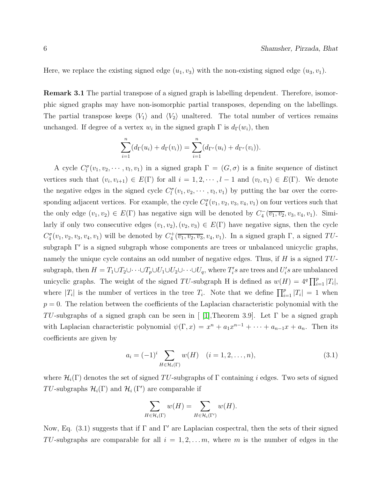Here, we replace the existing signed edge  $(u_1, v_3)$  with the non-existing signed edge  $(u_3, v_1)$ .

Remark 3.1 The partial transpose of a signed graph is labelling dependent. Therefore, isomorphic signed graphs may have non-isomorphic partial transposes, depending on the labellings. The partial transpose keeps  $\langle V_1 \rangle$  and  $\langle V_2 \rangle$  unaltered. The total number of vertices remains unchanged. If degree of a vertex  $w_i$  in the signed graph  $\Gamma$  is  $d_{\Gamma}(w_i)$ , then

$$
\sum_{i=1}^{n} (d_{\Gamma}(u_i) + d_{\Gamma}(v_i)) = \sum_{i=1}^{n} (d_{\Gamma^{\tau}}(u_i) + d_{\Gamma^{\tau}}(v_i)).
$$

A cycle  $C_l^{\sigma}(v_1, v_2, \dots, v_l, v_1)$  in a signed graph  $\Gamma = (G, \sigma)$  is a finite sequence of distinct vertices such that  $(v_i, v_{i+1}) \in E(\Gamma)$  for all  $i = 1, 2, \dots, l-1$  and  $(v_l, v_1) \in E(\Gamma)$ . We denote the negative edges in the signed cycle  $C_l^{\sigma}(v_1, v_2, \dots, v_l, v_1)$  by putting the bar over the corresponding adjacent vertices. For example, the cycle  $C_4^{\sigma}(v_1, v_2, v_3, v_4, v_1)$  on four vertices such that the only edge  $(v_1, v_2) \in E(\Gamma)$  has negative sign will be denoted by  $C_4^-(\overline{v_1, v_2}, v_3, v_4, v_1)$ . Similarly if only two consecutive edges  $(v_1, v_2), (v_2, v_3) \in E(\Gamma)$  have negative signs, then the cycle  $C_4^{\sigma}(v_1, v_2, v_3, v_4, v_1)$  will be denoted by  $C_4^+(\overline{v_1, v_2, v_3}, v_4, v_1)$ . In a signed graph  $\Gamma$ , a signed  $TU$ subgraph Γ′ is a signed subgraph whose components are trees or unbalanced unicyclic graphs, namely the unique cycle contains an odd number of negative edges. Thus, if  $H$  is a signed  $TU$ subgraph, then  $H = T_1 \cup T_2 \cup \cdots \cup T_p \cup U_1 \cup U_2 \cup \cdots \cup U_q$ , where  $T_i$ 's are trees and  $U_i$ 's are unbalanced unicyclic graphs. The weight of the signed TU-subgraph H is defined as  $w(H) = 4^q \prod_{i=1}^p |T_i|$ , where  $|T_i|$  is the number of vertices in the tree  $T_i$ . Note that we define  $\prod_{i=1}^p |T_i| = 1$  when  $p = 0$ . The relation between the coefficients of the Laplacian characteristic polynomial with the TU-subgraphs of a signed graph can be seen in [ [\[1\]](#page-21-7), Theorem 3.9]. Let  $\Gamma$  be a signed graph with Laplacian characteristic polynomial  $\psi(\Gamma, x) = x^n + a_1 x^{n-1} + \cdots + a_{n-1} x + a_n$ . Then its coefficients are given by

$$
a_i = (-1)^i \sum_{H \in \mathcal{H}_i(\Gamma)} w(H) \quad (i = 1, 2, \dots, n), \tag{3.1}
$$

where  $\mathcal{H}_i(\Gamma)$  denotes the set of signed TU-subgraphs of  $\Gamma$  containing i edges. Two sets of signed TU-subgraphs  $\mathcal{H}_i(\Gamma)$  and  $\mathcal{H}_i(\Gamma')$  are comparable if

$$
\sum_{H \in \mathcal{H}_i(\Gamma)} w(H) = \sum_{H \in \mathcal{H}_i(\Gamma')} w(H).
$$

Now, Eq.  $(3.1)$  suggests that if  $\Gamma$  and  $\Gamma'$  are Laplacian cospectral, then the sets of their signed TU-subgraphs are comparable for all  $i = 1, 2, \ldots m$ , where m is the number of edges in the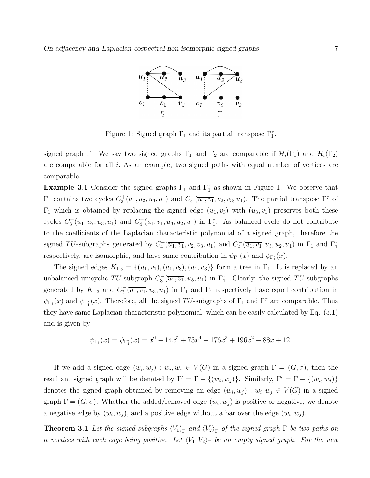

Figure 1: Signed graph  $\Gamma_1$  and its partial transpose  $\Gamma_1^{\tau}$ .

signed graph Γ. We say two signed graphs  $\Gamma_1$  and  $\Gamma_2$  are comparable if  $\mathcal{H}_i(\Gamma_1)$  and  $\mathcal{H}_i(\Gamma_2)$ are comparable for all i. As an example, two signed paths with equal number of vertices are comparable.

**Example 3.1** Consider the signed graphs  $\Gamma_1$  and  $\Gamma_1^{\tau}$  as shown in Figure 1. We observe that  $\Gamma_1$  contains two cycles  $C_3^+(u_1, u_2, u_3, u_1)$  and  $C_4^-(\overline{u_1, v_1}, v_2, v_3, u_1)$ . The partial transpose  $\Gamma_1^{\tau}$  of  $\Gamma_1$  which is obtained by replacing the signed edge  $(u_1, v_3)$  with  $(u_3, v_1)$  preserves both these cycles  $C_3^+(u_1, u_2, u_3, u_1)$  and  $C_4^-(\overline{u_1, v_1}, u_3, u_2, u_1)$  in  $\Gamma_1^{\tau}$ . As balanced cycle do not contribute to the coefficients of the Laplacian characteristic polynomial of a signed graph, therefore the signed TU-subgraphs generated by  $C_4^-(\overline{u_1,v_1},v_2,v_3,u_1)$  and  $C_4^-(\overline{u_1,v_1},u_3,u_2,u_1)$  in  $\Gamma_1$  and  $\Gamma_1^{\tau}$ respectively, are isomorphic, and have same contribution in  $\psi_{\Gamma_1}(x)$  and  $\psi_{\Gamma_1^r}(x)$ .

The signed edges  $K_{1,3} = \{(u_1, v_1), (u_1, v_3), (u_1, u_3)\}\$ form a tree in  $\Gamma_1$ . It is replaced by an unbalanced unicyclic TU-subgraph  $C_3^-(\overline{u_1,v_1},u_3,u_1)$  in  $\Gamma_1^{\tau}$ . Clearly, the signed TU-subgraphs generated by  $K_{1,3}$  and  $C_3^-(\overline{u_1,v_1},u_3,u_1)$  in  $\Gamma_1$  and  $\Gamma_1^{\tau}$  respectively have equal contribution in  $\psi_{\Gamma_1}(x)$  and  $\psi_{\Gamma_1^{\tau}}(x)$ . Therefore, all the signed TU-subgraphs of  $\Gamma_1$  and  $\Gamma_1^{\tau}$  are comparable. Thus they have same Laplacian characteristic polynomial, which can be easily calculated by Eq. (3.1) and is given by

<span id="page-6-0"></span>
$$
\psi_{\Gamma_1}(x) = \psi_{\Gamma_1^T}(x) = x^6 - 14x^5 + 73x^4 - 176x^3 + 196x^2 - 88x + 12.
$$

If we add a signed edge  $(w_i, w_j) : w_i, w_j \in V(G)$  in a signed graph  $\Gamma = (G, \sigma)$ , then the resultant signed graph will be denoted by  $\Gamma' = \Gamma + \{(w_i, w_j)\}\$ . Similarly,  $\Gamma' = \Gamma - \{(w_i, w_j)\}\$ denotes the signed graph obtained by removing an edge  $(w_i, w_j) : w_i, w_j \in V(G)$  in a signed graph  $\Gamma = (G, \sigma)$ . Whether the added/removed edge  $(w_i, w_j)$  is positive or negative, we denote a negative edge by  $(w_i, w_j)$ , and a positive edge without a bar over the edge  $(w_i, w_j)$ .

**Theorem 3.1** Let the signed subgraphs  $\langle V_1 \rangle_{\Gamma}$  and  $\langle V_2 \rangle_{\Gamma}$  of the signed graph  $\Gamma$  be two paths on n vertices with each edge being positive. Let  $\langle V_1,V_2\rangle_\Gamma$  be an empty signed graph. For the new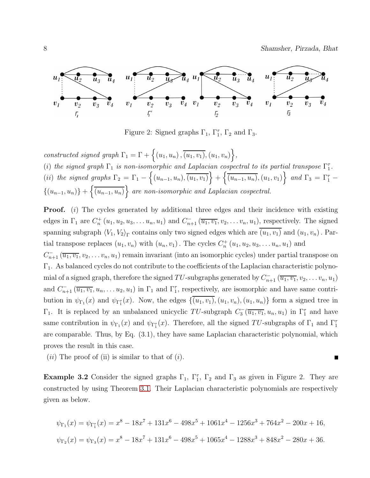8 Shamsher, Pirzada, Bhat



Figure 2: Signed graphs  $\Gamma_1$ ,  $\Gamma_1^{\tau}$ ,  $\Gamma_2$  and  $\Gamma_3$ .

constructed signed graph  $\Gamma_1 = \Gamma + \{(u_1, u_n), \overline{(u_1, v_1)}, (u_1, v_n)\},\$ 

(i) the signed graph  $\Gamma_1$  is non-isomorphic and Laplacian cospectral to its partial transpose  $\Gamma_1^{\tau}$ . (ii) the signed graphs  $\Gamma_2 = \Gamma_1 - \{(u_{n-1}, u_n), \overline{(u_1, v_1)}\} + \{\overline{(u_{n-1}, u_n)}, (u_1, v_1)\}$  and  $\Gamma_3 = \Gamma_1^{\tau}$  $\{(u_{n-1}, u_n)\} + \left\{\overline{(u_{n-1}, u_n)}\right\}$  are non-isomorphic and Laplacian cospectral.

**Proof.** (i) The cycles generated by additional three edges and their incidence with existing edges in  $\Gamma_1$  are  $C_n^+(u_1, u_2, u_3, \ldots u_n, u_1)$  and  $C_{n+1}^-(\overline{u_1, v_1}, v_2, \ldots v_n, u_1)$ , respectively. The signed spanning subgraph  $\langle V_1, V_2 \rangle_{\Gamma}$  contains only two signed edges which are  $(u_1, v_1)$  and  $(u_1, v_n)$ . Partial transpose replaces  $(u_1, v_n)$  with  $(u_n, v_1)$ . The cycles  $C_n^+(u_1, u_2, u_3, \ldots, u_n, u_1)$  and  $C_{n+1}^{-}(\overline{u_1, v_1}, v_2, \ldots v_n, u_1)$  remain invariant (into an isomorphic cycles) under partial transpose on

Γ1. As balanced cycles do not contribute to the coefficients of the Laplacian characteristic polynomial of a signed graph, therefore the signed TU-subgraphs generated by  $C_{n+1}^-(\overline{u_1,v_1},v_2,\ldots v_n,u_1)$ and  $C_{n+1}^-(\overline{u_1,v_1},u_n,\ldots u_2,u_1)$  in  $\Gamma_1$  and  $\Gamma_1^{\tau}$ , respectively, are isomorphic and have same contribution in  $\psi_{\Gamma_1}(x)$  and  $\psi_{\Gamma_1^r}(x)$ . Now, the edges  $\{(u_1, v_1), (u_1, v_n), (u_1, u_n)\}$  form a signed tree in  $\Gamma_1$ . It is replaced by an unbalanced unicyclic TU-subgraph  $C_3^-(\overline{u_1,v_1},u_n,u_1)$  in  $\Gamma_1^{\tau}$  and have same contribution in  $\psi_{\Gamma_1}(x)$  and  $\psi_{\Gamma_1}(x)$ . Therefore, all the signed TU-subgraphs of  $\Gamma_1$  and  $\Gamma_1^{\tau}$ are comparable. Thus, by Eq. (3.1), they have same Laplacian characteristic polynomial, which proves the result in this case.

 $(ii)$  The proof of (ii) is similar to that of  $(i)$ .

**Example 3.2** Consider the signed graphs  $\Gamma_1$ ,  $\Gamma_1^{\tau}$ ,  $\Gamma_2$  and  $\Gamma_3$  as given in Figure 2. They are constructed by using Theorem [3.1.](#page-6-0) Their Laplacian characteristic polynomials are respectively given as below.

$$
\psi_{\Gamma_1}(x) = \psi_{\Gamma_1^{\tau}}(x) = x^8 - 18x^7 + 131x^6 - 498x^5 + 1061x^4 - 1256x^3 + 764x^2 - 200x + 16,
$$
  

$$
\psi_{\Gamma_2}(x) = \psi_{\Gamma_3}(x) = x^8 - 18x^7 + 131x^6 - 498x^5 + 1065x^4 - 1288x^3 + 848x^2 - 280x + 36.
$$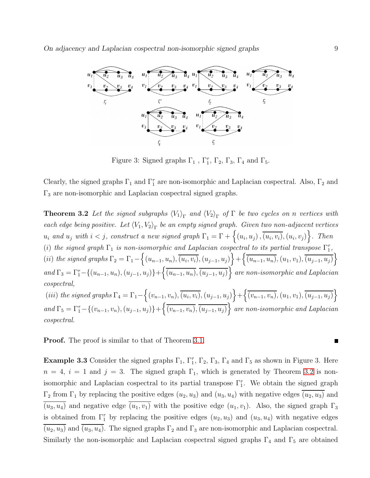

Figure 3: Signed graphs  $\Gamma_1$ ,  $\Gamma_1^{\tau}$ ,  $\Gamma_2$ ,  $\Gamma_3$ ,  $\Gamma_4$  and  $\Gamma_5$ .

<span id="page-8-0"></span>Clearly, the signed graphs  $\Gamma_1$  and  $\Gamma_1^{\tau}$  are non-isomorphic and Laplacian cospectral. Also,  $\Gamma_2$  and  $\Gamma_3$  are non-isomorphic and Laplacian cospectral signed graphs.

**Theorem 3.2** Let the signed subgraphs  $\langle V_1 \rangle_{\Gamma}$  and  $\langle V_2 \rangle_{\Gamma}$  of  $\Gamma$  be two cycles on n vertices with each edge being positive. Let  $\langle V_1, V_2 \rangle_{\Gamma}$  be an empty signed graph. Given two non-adjacent vertices  $u_i$  and  $u_j$  with  $i < j$ , construct a new signed graph  $\Gamma_1 = \Gamma + \{(u_i, u_j), \overline{(u_i, v_i)}, (u_i, v_j)\}$ . Then (i) the signed graph  $\Gamma_1$  is non-isomorphic and Laplacian cospectral to its partial transpose  $\Gamma_1^{\tau}$ , (ii) the signed graphs  $\Gamma_2 = \Gamma_1 - \left\{ (u_{n-1}, u_n), \overline{(u_i, v_i)}, (u_{j-1}, u_j) \right\} + \left\{ \overline{(u_{n-1}, u_n)}, (u_1, v_1), \overline{(u_{j-1}, u_j)} \right\}$ and  $\Gamma_3 = \Gamma_1^{\tau} - \{(u_{n-1}, u_n), (u_{j-1}, u_j)\} + \left\{ \overline{(u_{n-1}, u_n)}, \overline{(u_{j-1}, u_j)} \right\}$  are non-isomorphic and Laplacian cospectral, (iii) the signed graphs  $\Gamma_4 = \Gamma_1 - \left\{ (v_{n-1}, v_n), \overline{(u_i, v_i)}, (u_{j-1}, u_j) \right\} + \left\{ \overline{(v_{n-1}, v_n)}, (u_1, v_1), \overline{(u_{j-1}, u_j)} \right\}$ and  $\Gamma_5 = \Gamma_1^{\tau} - \{(v_{n-1}, v_n), (u_{j-1}, u_j)\} + \left\{\overline{(v_{n-1}, v_n)}, \overline{(u_{j-1}, u_j)}\right\}$  are non-isomorphic and Laplacian cospectral.

**Proof.** The proof is similar to that of Theorem [3.1.](#page-6-0)

**Example 3.3** Consider the signed graphs  $\Gamma_1$ ,  $\Gamma_1^{\tau}$ ,  $\Gamma_2$ ,  $\Gamma_3$ ,  $\Gamma_4$  and  $\Gamma_5$  as shown in Figure 3. Here  $n = 4$ ,  $i = 1$  and  $j = 3$ . The signed graph  $\Gamma_1$ , which is generated by Theorem [3.2](#page-8-0) is nonisomorphic and Laplacian cospectral to its partial transpose  $\Gamma_1^{\tau}$ . We obtain the signed graph  $\Gamma_2$  from  $\Gamma_1$  by replacing the positive edges  $(u_2, u_3)$  and  $(u_3, u_4)$  with negative edges  $\overline{(u_2, u_3)}$  and  $\overline{(u_3, u_4)}$  and negative edge  $\overline{(u_1, v_1)}$  with the positive edge  $(u_1, v_1)$ . Also, the signed graph  $\Gamma_3$ is obtained from  $\Gamma_1^{\tau}$  by replacing the positive edges  $(u_2, u_3)$  and  $(u_3, u_4)$  with negative edges  $\overline{(u_2, u_3)}$  and  $\overline{(u_3, u_4)}$ . The signed graphs  $\Gamma_2$  and  $\Gamma_3$  are non-isomorphic and Laplacian cospectral. Similarly the non-isomorphic and Laplacian cospectral signed graphs  $\Gamma_4$  and  $\Gamma_5$  are obtained

П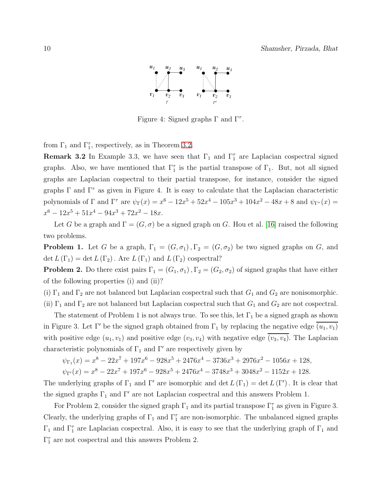

Figure 4: Signed graphs  $Γ$  and  $Γ<sup>τ</sup>$ .

from  $\Gamma_1$  and  $\Gamma_1^{\tau}$ , respectively, as in Theorem [3.2.](#page-8-0)

**Remark 3.2** In Example 3.3, we have seen that  $\Gamma_1$  and  $\Gamma_1^{\tau}$  are Laplacian cospectral signed graphs. Also, we have mentioned that  $\Gamma_1^{\tau}$  is the partial transpose of  $\Gamma_1$ . But, not all signed graphs are Laplacian cospectral to their partial transpose, for instance, consider the signed graphs  $\Gamma$  and  $\Gamma^{\tau}$  as given in Figure 4. It is easy to calculate that the Laplacian characteristic polynomials of  $\Gamma$  and  $\Gamma^{\tau}$  are  $\psi_{\Gamma}(x) = x^6 - 12x^5 + 52x^4 - 105x^3 + 104x^2 - 48x + 8$  and  $\psi_{\Gamma}(\tau) =$  $x^6 - 12x^5 + 51x^4 - 94x^3 + 72x^2 - 18x.$ 

Let G be a graph and  $\Gamma = (G, \sigma)$  be a signed graph on G. Hou et al. [\[16\]](#page-22-2) raised the following two problems.

**Problem 1.** Let G be a graph,  $\Gamma_1 = (G, \sigma_1), \Gamma_2 = (G, \sigma_2)$  be two signed graphs on G, and det  $L(\Gamma_1) = \det L(\Gamma_2)$ . Are  $L(\Gamma_1)$  and  $L(\Gamma_2)$  cospectral?

**Problem 2.** Do there exist pairs  $\Gamma_1 = (G_1, \sigma_1), \Gamma_2 = (G_2, \sigma_2)$  of signed graphs that have either of the following properties (i) and (ii)?

(i)  $\Gamma_1$  and  $\Gamma_2$  are not balanced but Laplacian cospectral such that  $G_1$  and  $G_2$  are nonisomorphic.

(ii)  $\Gamma_1$  and  $\Gamma_2$  are not balanced but Laplacian cospectral such that  $G_1$  and  $G_2$  are not cospectral.

The statement of Problem 1 is not always true. To see this, let  $\Gamma_1$  be a signed graph as shown in Figure 3. Let Γ' be the signed graph obtained from  $\Gamma_1$  by replacing the negative edge  $(u_1, v_1)$ with positive edge  $(u_1, v_1)$  and positive edge  $(v_3, v_4)$  with negative edge  $\overline{(v_3, v_4)}$ . The Laplacian characteristic polynomials of  $\Gamma_1$  and  $\Gamma'$  are respectively given by

$$
\psi_{\Gamma_1}(x) = x^8 - 22x^7 + 197x^6 - 928x^5 + 2476x^4 - 3736x^3 + 2976x^2 - 1056x + 128,
$$

 $\psi_{\Gamma'}(x) = x^8 - 22x^7 + 197x^6 - 928x^5 + 2476x^4 - 3748x^3 + 3048x^2 - 1152x + 128.$ 

The underlying graphs of  $\Gamma_1$  and  $\Gamma'$  are isomorphic and det  $L(\Gamma_1) = \det L(\Gamma')$ . It is clear that the signed graphs  $\Gamma_1$  and  $\Gamma'$  are not Laplacian cospectral and this answers Problem 1.

For Problem 2, consider the signed graph  $\Gamma_1$  and its partial transpose  $\Gamma_1^{\tau}$  as given in Figure 3. Clearly, the underlying graphs of  $\Gamma_1$  and  $\Gamma_1^{\tau}$  are non-isomorphic. The unbalanced signed graphs  $\Gamma_1$  and  $\Gamma_1^{\tau}$  are Laplacian cospectral. Also, it is easy to see that the underlying graph of  $\Gamma_1$  and  $\Gamma_1^{\tau}$  are not cospectral and this answers Problem 2.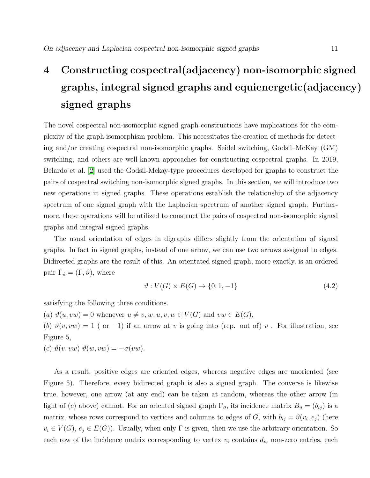## 4 Constructing cospectral(adjacency) non-isomorphic signed graphs, integral signed graphs and equienergetic(adjacency) signed graphs

The novel cospectral non-isomorphic signed graph constructions have implications for the complexity of the graph isomorphism problem. This necessitates the creation of methods for detecting and/or creating cospectral non-isomorphic graphs. Seidel switching, Godsil–McKay (GM) switching, and others are well-known approaches for constructing cospectral graphs. In 2019, Belardo et al. [\[2\]](#page-21-8) used the Godsil-Mckay-type procedures developed for graphs to construct the pairs of cospectral switching non-isomorphic signed graphs. In this section, we will introduce two new operations in signed graphs. These operations establish the relationship of the adjacency spectrum of one signed graph with the Laplacian spectrum of another signed graph. Furthermore, these operations will be utilized to construct the pairs of cospectral non-isomorphic signed graphs and integral signed graphs.

The usual orientation of edges in digraphs differs slightly from the orientation of signed graphs. In fact in signed graphs, instead of one arrow, we can use two arrows assigned to edges. Bidirected graphs are the result of this. An orientated signed graph, more exactly, is an ordered pair  $\Gamma_{\vartheta} = (\Gamma, \vartheta)$ , where

$$
\vartheta: V(G) \times E(G) \to \{0, 1, -1\} \tag{4.2}
$$

satisfying the following three conditions.

(a)  $\vartheta(u, vw) = 0$  whenever  $u \neq v, w; u, v, w \in V(G)$  and  $vw \in E(G)$ ,

(b)  $\vartheta(v, vw) = 1$  (or -1) if an arrow at v is going into (rep. out of) v. For illustration, see Figure 5,

(c)  $\vartheta(v, vw) \vartheta(w, vw) = -\sigma(vw)$ .

As a result, positive edges are oriented edges, whereas negative edges are unoriented (see Figure 5). Therefore, every bidirected graph is also a signed graph. The converse is likewise true, however, one arrow (at any end) can be taken at random, whereas the other arrow (in light of (c) above) cannot. For an oriented signed graph  $\Gamma_{\vartheta}$ , its incidence matrix  $B_{\vartheta} = (b_{ij})$  is a matrix, whose rows correspond to vertices and columns to edges of G, with  $b_{ij} = \vartheta(v_i, e_j)$  (here  $v_i \in V(G)$ ,  $e_j \in E(G)$ ). Usually, when only  $\Gamma$  is given, then we use the arbitrary orientation. So each row of the incidence matrix corresponding to vertex  $v_i$  contains  $d_{v_i}$  non-zero entries, each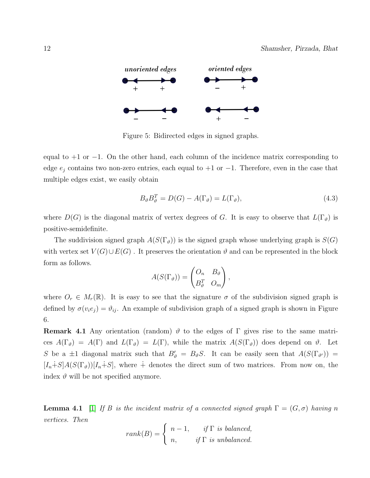

Figure 5: Bidirected edges in signed graphs.

equal to  $+1$  or  $-1$ . On the other hand, each column of the incidence matrix corresponding to edge  $e_j$  contains two non-zero entries, each equal to +1 or -1. Therefore, even in the case that multiple edges exist, we easily obtain

$$
B_{\vartheta} B_{\vartheta}^T = D(G) - A(\Gamma_{\vartheta}) = L(\Gamma_{\vartheta}), \qquad (4.3)
$$

where  $D(G)$  is the diagonal matrix of vertex degrees of G. It is easy to observe that  $L(\Gamma_{\vartheta})$  is positive-semidefinite.

The suddivision signed graph  $A(S(\Gamma_{\vartheta}))$  is the signed graph whose underlying graph is  $S(G)$ with vertex set  $V(G) \cup E(G)$ . It preserves the orientation  $\vartheta$  and can be represented in the block form as follows.

$$
A(S(\Gamma_{\vartheta})) = \begin{pmatrix} O_n & B_{\vartheta} \\ B_{\vartheta}^T & O_m \end{pmatrix},
$$

where  $O_r \in M_r(\mathbb{R})$ . It is easy to see that the signature  $\sigma$  of the subdivision signed graph is defined by  $\sigma(v_i e_j) = \vartheta_{ij}$ . An example of subdivision graph of a signed graph is shown in Figure 6.

**Remark 4.1** Any orientation (random)  $\vartheta$  to the edges of  $\Gamma$  gives rise to the same matrices  $A(\Gamma_{\vartheta}) = A(\Gamma)$  and  $L(\Gamma_{\vartheta}) = L(\Gamma)$ , while the matrix  $A(S(\Gamma_{\vartheta}))$  does depend on  $\vartheta$ . Let S be a  $\pm 1$  diagonal matrix such that  $B'_{\vartheta} = B_{\vartheta} S$ . It can be easily seen that  $A(S(\Gamma_{\vartheta'})) =$  $[I_n \dagger S]A(S(\Gamma_{\vartheta}))[I_n \dagger S]$ , where  $\dagger$  denotes the direct sum of two matrices. From now on, the index  $\vartheta$  will be not specified anymore.

<span id="page-11-0"></span>**Lemma 4.1** [\[1\]](#page-21-7) If B is the incident matrix of a connected signed graph  $\Gamma = (G, \sigma)$  having n vertices. Then

$$
rank(B) = \begin{cases} n-1, & if \Gamma \text{ is balanced,} \\ n, & if \Gamma \text{ is unbalanced.} \end{cases}
$$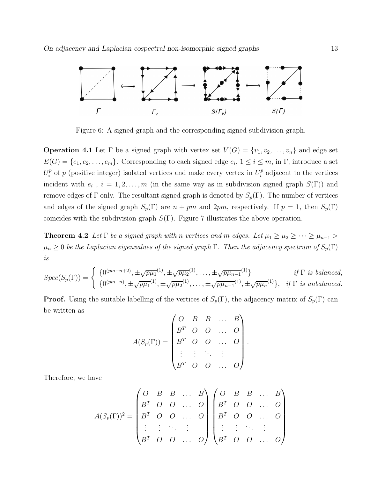

Figure 6: A signed graph and the corresponding signed subdivision graph.

**Operation 4.1** Let  $\Gamma$  be a signed graph with vertex set  $V(G) = \{v_1, v_2, \ldots, v_n\}$  and edge set  $E(G) = \{e_1, e_2, \ldots, e_m\}$ . Corresponding to each signed edge  $e_i$ ,  $1 \le i \le m$ , in  $\Gamma$ , introduce a set  $U_i^p$  $i$ <sup>*p*</sup> of *p* (positive integer) isolated vertices and make every vertex in  $U_i^p$  $i<sup>p</sup>$  adjacent to the vertices incident with  $e_i$ ,  $i = 1, 2, ..., m$  (in the same way as in subdivision signed graph  $S(\Gamma)$ ) and remove edges of Γ only. The resultant signed graph is denoted by  $S_p(\Gamma)$ . The number of vertices and edges of the signed graph  $S_p(\Gamma)$  are  $n + pm$  and  $2pm$ , respectively. If  $p = 1$ , then  $S_p(\Gamma)$ coincides with the subdivision graph  $S(\Gamma)$ . Figure 7 illustrates the above operation.

<span id="page-12-0"></span>**Theorem 4.2** Let  $\Gamma$  be a signed graph with n vertices and m edges. Let  $\mu_1 \ge \mu_2 \ge \cdots \ge \mu_{n-1}$  $\mu_n \geq 0$  be the Laplacian eigenvalues of the signed graph  $\Gamma$ . Then the adjacency spectrum of  $S_p(\Gamma)$ is

$$
Spec(S_p(\Gamma)) = \begin{cases} \{0^{(pm-n+2)}, \pm \sqrt{p\mu_1}^{(1)}, \pm \sqrt{p\mu_2}^{(1)}, \dots, \pm \sqrt{p\mu_{n-1}}^{(1)}\} & \text{if } \Gamma \text{ is balanced,} \\ \{0^{(pm-n)}, \pm \sqrt{p\mu_1}^{(1)}, \pm \sqrt{p\mu_2}^{(1)}, \dots, \pm \sqrt{p\mu_{n-1}}^{(1)}, \pm \sqrt{p\mu_n}^{(1)}\}, & \text{if } \Gamma \text{ is unbalanced.} \end{cases}
$$

**Proof.** Using the suitable labelling of the vertices of  $S_p(\Gamma)$ , the adjacency matrix of  $S_p(\Gamma)$  can be written as

$$
A(S_p(\Gamma)) = \begin{pmatrix} O & B & B & \dots & B \\ B^T & O & O & \dots & O \\ B^T & O & O & \dots & O \\ \vdots & \vdots & \ddots & \vdots & \\ B^T & O & O & \dots & O \end{pmatrix}.
$$

Therefore, we have

$$
A(S_p(\Gamma))^2 = \begin{pmatrix} O & B & B & \dots & B \\ B^T & O & O & \dots & O \\ B^T & O & O & \dots & O \\ \vdots & \vdots & \ddots & \vdots & \\ B^T & O & O & \dots & O \end{pmatrix} \begin{pmatrix} O & B & B & \dots & B \\ B^T & O & O & \dots & O \\ B^T & O & O & \dots & O \\ \vdots & \vdots & \ddots & \vdots & \\ B^T & O & O & \dots & O \end{pmatrix}
$$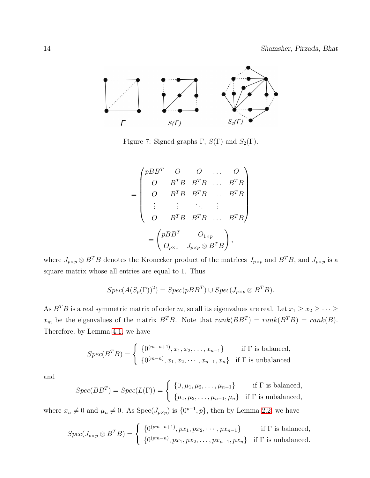

Figure 7: Signed graphs  $\Gamma$ ,  $S(\Gamma)$  and  $S_2(\Gamma)$ .

$$
= \begin{pmatrix} pBB^T & O & O & \dots & O \\ O & B^TB & B^TB & \dots & B^TB \\ O & B^TB & B^TB & \dots & B^TB \\ \vdots & \vdots & \ddots & \vdots & \vdots \\ O & B^TB & B^TB & \dots & B^TB \end{pmatrix}
$$

$$
= \begin{pmatrix} pBB^T & O_{1\times p} \\ O_{p\times 1} & J_{p\times p} \otimes B^TB \end{pmatrix},
$$

where  $J_{p\times p}\otimes B^TB$  denotes the Kronecker product of the matrices  $J_{p\times p}$  and  $B^TB$ , and  $J_{p\times p}$  is a square matrix whose all entries are equal to 1. Thus

$$
Spec(A(S_p(\Gamma))^2) = Spec(pBB^T) \cup Spec(J_{p\times p} \otimes B^T B).
$$

As  $B^T B$  is a real symmetric matrix of order m, so all its eigenvalues are real. Let  $x_1 \ge x_2 \ge \cdots \ge$  $x_m$  be the eigenvalues of the matrix  $B^T B$ . Note that  $rank(B B^T) = rank(B^T B) = rank(B)$ . Therefore, by Lemma [4.1,](#page-11-0) we have

$$
Spec(B^TB) = \begin{cases} \{0^{(m-n+1)}, x_1, x_2, \dots, x_{n-1}\} & \text{if } \Gamma \text{ is balanced,} \\ \{0^{(m-n)}, x_1, x_2, \dots, x_{n-1}, x_n\} & \text{if } \Gamma \text{ is unbalanced.} \end{cases}
$$

and

$$
Spec(BB^{T}) = Spec(L(\Gamma)) = \begin{cases} \{0, \mu_1, \mu_2, \dots, \mu_{n-1}\} & \text{if } \Gamma \text{ is balanced,} \\ \{\mu_1, \mu_2, \dots, \mu_{n-1}, \mu_n\} & \text{if } \Gamma \text{ is unbalanced,} \end{cases}
$$

where  $x_n \neq 0$  and  $\mu_n \neq 0$ . As  $Spec(J_{p\times p})$  is  $\{0^{p-1}, p\}$ , then by Lemma [2.2,](#page-3-0) we have

$$
Spec(J_{p\times p}\otimes B^TB)=\begin{cases} \{0^{(pm-n+1)},px_1,px_2,\cdots,px_{n-1}\} & \text{if }\Gamma \text{ is balanced,} \\ \{0^{(pm-n)},px_1,px_2,\cdots,px_{n-1},px_n\} & \text{if }\Gamma \text{ is unbalanced.} \end{cases}
$$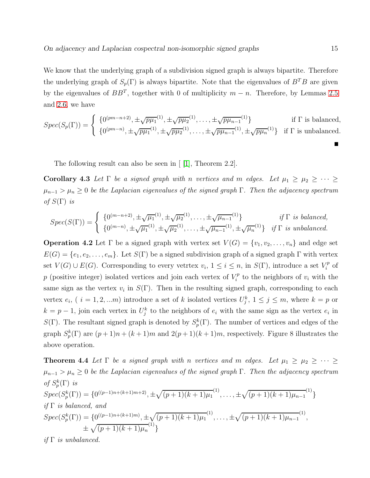We know that the underlying graph of a subdivision signed graph is always bipartite. Therefore the underlying graph of  $S_p(\Gamma)$  is always bipartite. Note that the eigenvalues of  $B^T B$  are given by the eigenvalues of  $BB^T$ , together with 0 of multiplicity  $m - n$ . Therefore, by Lemmas [2.5](#page-3-1) and [2.6,](#page-3-2) we have

$$
Spec(S_p(\Gamma)) = \begin{cases} \{0^{(pm-n+2)}, \pm \sqrt{p\mu_1}^{(1)}, \pm \sqrt{p\mu_2}^{(1)}, \dots, \pm \sqrt{p\mu_{n-1}^{(1)}}\} & \text{if } \Gamma \text{ is balanced,} \\ \{0^{(pm-n)}, \pm \sqrt{p\mu_1}^{(1)}, \pm \sqrt{p\mu_2}^{(1)}, \dots, \pm \sqrt{p\mu_{n-1}^{(1)}}, \pm \sqrt{p\mu_n}^{(1)}\} & \text{if } \Gamma \text{ is unbalanced.} \end{cases}
$$

<span id="page-14-0"></span>The following result can also be seen in [ [\[1\]](#page-21-7), Theorem 2.2].

Corollary 4.3 Let  $\Gamma$  be a signed graph with n vertices and m edges. Let  $\mu_1 \geq \mu_2 \geq \cdots \geq$  $\mu_{n-1} > \mu_n \geq 0$  be the Laplacian eigenvalues of the signed graph  $\Gamma$ . Then the adjacency spectrum of  $S(\Gamma)$  is

$$
Spec(S(\Gamma)) = \begin{cases} \{0^{(m-n+2)}, \pm \sqrt{\mu_1}^{(1)}, \pm \sqrt{\mu_2}^{(1)}, \dots, \pm \sqrt{\mu_{n-1}}^{(1)}\} & \text{if } \Gamma \text{ is balanced,} \\ \{0^{(m-n)}, \pm \sqrt{\mu_1}^{(1)}, \pm \sqrt{\mu_2}^{(1)}, \dots, \pm \sqrt{\mu_{n-1}}^{(1)}, \pm \sqrt{\mu_n}^{(1)}\} & \text{if } \Gamma \text{ is unbalanced.} \end{cases}
$$

**Operation 4.2** Let  $\Gamma$  be a signed graph with vertex set  $V(G) = \{v_1, v_2, \ldots, v_n\}$  and edge set  $E(G) = \{e_1, e_2, \ldots, e_m\}$ . Let  $S(\Gamma)$  be a signed subdivision graph of a signed graph  $\Gamma$  with vertex set  $V(G) \cup E(G)$ . Corresponding to every vetrtex  $v_i$ ,  $1 \leq i \leq n$ , in  $S(\Gamma)$ , introduce a set  $V_i^p$  $i^p$  of p (positive integer) isolated vertices and join each vertex of  $V_i^p$  $\zeta_i^p$  to the neighbors of  $v_i$  with the same sign as the vertex  $v_i$  in  $S(\Gamma)$ . Then in the resulting signed graph, corresponding to each vertex  $e_i$ , (  $i = 1, 2, ...m$ ) introduce a set of k isolated vertices  $U_j^k$ ,  $1 \le j \le m$ , where  $k = p$  or  $k = p - 1$ , join each vertex in  $U_j^k$  to the neighbors of  $e_i$  with the same sign as the vertex  $e_i$  in S(Γ). The resultant signed graph is denoted by  $S_p^k(\Gamma)$ . The number of vertices and edges of the graph  $S_p^k(\Gamma)$  are  $(p+1)n + (k+1)m$  and  $2(p+1)(k+1)m$ , respectively. Figure 8 illustrates the above operation.

<span id="page-14-1"></span>**Theorem 4.4** Let  $\Gamma$  be a signed graph with n vertices and m edges. Let  $\mu_1 \geq \mu_2 \geq \cdots \geq$  $\mu_{n-1} > \mu_n \geq 0$  be the Laplacian eigenvalues of the signed graph  $\Gamma$ . Then the adjacency spectrum of  $S_p^k(\Gamma)$  is  $Spec(S_p^k(\Gamma)) = \{0^{((p-1)n + (k+1)m+2)}, \pm \sqrt{(p+1)(k+1)\mu_1}^{(1)}, \ldots, \pm \sqrt{(p+1)(k+1)\mu_{n-1}}^{(1)} \}$ } if  $\Gamma$  is balanced, and  $Spec(S_p^k(\Gamma)) = \{0^{((p-1)n + (k+1)m)}, \pm \sqrt{(p+1)(k+1)\mu_1}^{(1)}, \ldots, \pm \sqrt{(p+1)(k+1)\mu_{n-1}}^{(1)},\}$  $\pm \sqrt{(p+1)(k+1)\mu_n}^{(1)}$ }

if  $\Gamma$  is unbalanced.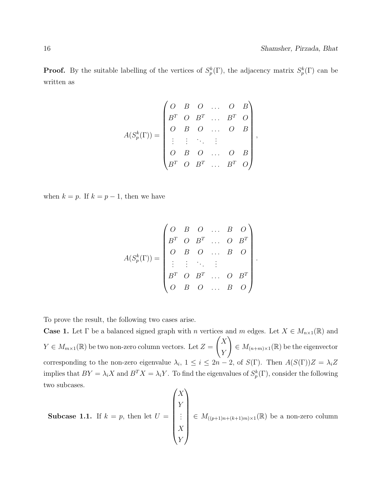**Proof.** By the suitable labelling of the vertices of  $S_p^k(\Gamma)$ , the adjacency matrix  $S_p^k(\Gamma)$  can be written as

$$
A(S_p^k(\Gamma)) = \begin{pmatrix} O & B & O & \dots & O & B \\ B^T & O & B^T & \dots & B^T & O \\ O & B & O & \dots & O & B \\ \vdots & \vdots & \ddots & \vdots & & \\ O & B & O & \dots & O & B \\ B^T & O & B^T & \dots & B^T & O \end{pmatrix},
$$

when  $k = p$ . If  $k = p - 1$ , then we have

$$
A(S_p^k(\Gamma)) = \begin{pmatrix} O & B & O & \dots & B & O \\ B^T & O & B^T & \dots & O & B^T \\ O & B & O & \dots & B & O \\ \vdots & \vdots & \ddots & \vdots & & \\ B^T & O & B^T & \dots & O & B^T \\ O & B & O & \dots & B & O \end{pmatrix}
$$

.

To prove the result, the following two cases arise.

**Case 1.** Let  $\Gamma$  be a balanced signed graph with n vertices and m edges. Let  $X \in M_{n\times1}(\mathbb{R})$  and  $Y \in M_{m \times 1}(\mathbb{R})$  be two non-zero column vectors. Let  $Z =$  $\bigl(X\right)$ Y  $\setminus$  $\in M_{(n+m)\times 1}(\mathbb{R})$  be the eigenvector corresponding to the non-zero eigenvalue  $\lambda_i$ ,  $1 \leq i \leq 2n-2$ , of  $S(\Gamma)$ . Then  $A(S(\Gamma))Z = \lambda_i Z$ implies that  $BY = \lambda_i X$  and  $B^T X = \lambda_i Y$ . To find the eigenvalues of  $S_p^k(\Gamma)$ , consider the following two subcases.

**Subcase 1.1.** If 
$$
k = p
$$
, then let  $U = \begin{pmatrix} X \\ Y \\ \vdots \\ X \\ Y \end{pmatrix} \in M_{((p+1)n + (k+1)m) \times 1}(\mathbb{R})$  be a non-zero column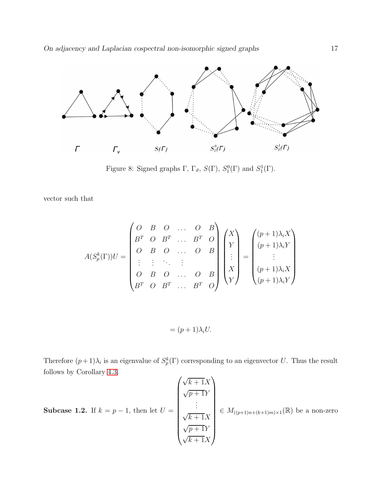

Figure 8: Signed graphs  $\Gamma$ ,  $\Gamma_{\vartheta}$ ,  $S(\Gamma)$ ,  $S_1^0(\Gamma)$  and  $S_1^1(\Gamma)$ .

vector such that

$$
A(S_p^k(\Gamma))U = \begin{pmatrix} O & B & O & \dots & O & B \\ B^T & O & B^T & \dots & B^T & O \\ O & B & O & \dots & O & B \\ \vdots & \vdots & \ddots & \vdots & \vdots \\ O & B & O & \dots & O & B \\ B^T & O & B^T & \dots & B^T & O \end{pmatrix} \begin{pmatrix} X \\ Y \\ \vdots \\ X \\ Y \end{pmatrix} = \begin{pmatrix} (p+1)\lambda_i X \\ (p+1)\lambda_i Y \\ \vdots \\ (p+1)\lambda_i Y \\ (p+1)\lambda_i Y \end{pmatrix}
$$

$$
= (p+1)\lambda_i U.
$$

Therefore  $(p+1)\lambda_i$  is an eigenvalue of  $S_p^k(\Gamma)$  corresponding to an eigenvector U. Thus the result follows by Corollary [4.3.](#page-14-0)  $\overline{1}$ 

**Subcase 1.2.** If 
$$
k = p - 1
$$
, then let  $U = \begin{pmatrix} \sqrt{k+1}X \\ \sqrt{p+1}Y \\ \vdots \\ \sqrt{k+1}X \\ \sqrt{p+1}Y \\ \sqrt{k+1}X \end{pmatrix} \in M_{((p+1)n+(k+1)m)\times 1}(\mathbb{R})$  be a non-zero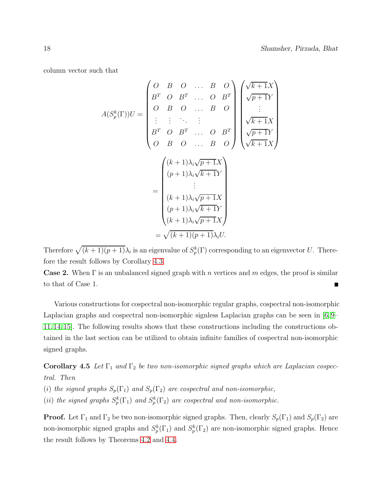column vector such that

$$
A(S_p^k(\Gamma))U = \begin{pmatrix} O & B & O & \dots & B & O \\ B^T & O & B^T & \dots & O & B^T \\ O & B & O & \dots & B & O \\ \vdots & \vdots & \ddots & \vdots & \vdots & \vdots \\ B^T & O & B^T & \dots & O & B^T \\ O & B & O & \dots & B & O \end{pmatrix} \begin{pmatrix} \sqrt{k+1}X \\ \sqrt{p+1}Y \\ \vdots \\ \sqrt{k+1}X \\ \sqrt{p+1}Y \\ \sqrt{k+1}X \end{pmatrix}
$$
\n
$$
= \begin{pmatrix} (k+1)\lambda_i\sqrt{p+1}X \\ (p+1)\lambda_i\sqrt{k+1}Y \\ \vdots \\ (k+1)\lambda_i\sqrt{p+1}X \\ (k+1)\lambda_i\sqrt{p+1}X \end{pmatrix}
$$
\n
$$
= \sqrt{(k+1)(p+1)}\lambda_i U.
$$

Therefore  $\sqrt{(k+1)(p+1)}\lambda_i$  is an eigenvalue of  $S_p^k(\Gamma)$  corresponding to an eigenvector U. Therefore the result follows by Corollary [4.3.](#page-14-0)

**Case 2.** When  $\Gamma$  is an unbalanced signed graph with n vertices and m edges, the proof is similar to that of Case 1.

Various constructions for cospectral non-isomorphic regular graphs, cospectral non-isomorphic Laplacian graphs and cospectral non-isomorphic signless Laplacian graphs can be seen in [\[6,](#page-21-9)9– [11,](#page-21-11) [14,](#page-22-3) [15\]](#page-22-4). The following results shows that these constructions including the constructions obtained in the last section can be utilized to obtain infinite families of cospectral non-isomorphic signed graphs.

<span id="page-17-0"></span>Corollary 4.5 Let  $\Gamma_1$  and  $\Gamma_2$  be two non-isomorphic signed graphs which are Laplacian cospectral. Then

(i) the signed graphs  $S_p(\Gamma_1)$  and  $S_p(\Gamma_2)$  are cospectral and non-isomorphic,

(ii) the signed graphs  $S_p^k(\Gamma_1)$  and  $S_p^k(\Gamma_2)$  are cospectral and non-isomorphic.

**Proof.** Let  $\Gamma_1$  and  $\Gamma_2$  be two non-isomorphic signed graphs. Then, clearly  $S_p(\Gamma_1)$  and  $S_p(\Gamma_2)$  are non-isomorphic signed graphs and  $S_p^k(\Gamma_1)$  and  $S_p^k(\Gamma_2)$  are non-isomorphic signed graphs. Hence the result follows by Theorems [4.2](#page-12-0) and [4.4.](#page-14-1)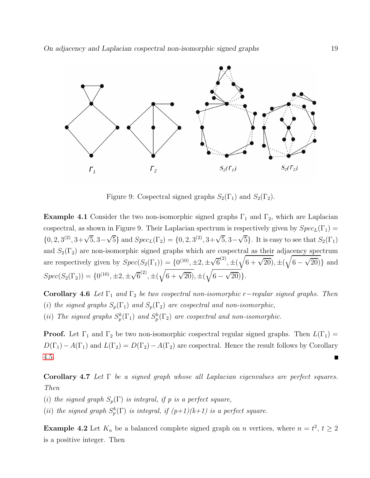

Figure 9: Cospectral signed graphs  $S_2(\Gamma_1)$  and  $S_2(\Gamma_2)$ .

**Example 4.1** Consider the two non-isomorphic signed graphs  $\Gamma_1$  and  $\Gamma_2$ , which are Laplacian cospectral, as shown in Figure 9. Their Laplacian spectrum is respectively given by  $Spec_L(\Gamma_1)$  $\{0, 2, 3^{(2)}, 3+\sqrt{5}, 3-\sqrt{5}\}\$ and  $Spec_L(\Gamma_2) = \{0, 2, 3^{(2)}, 3+\sqrt{5}, 3-\sqrt{5}\}\$ . It is easy to see that  $S_2(\Gamma_1)$ and  $S_2(\Gamma_2)$  are non-isomorphic signed graphs which are cospectral as their adjacency spectrum are respectively given by  $Spec(S_2(\Gamma_1)) = \{0^{(10)}, \pm 2, \pm \sqrt{6}^{(2)}, \pm (\sqrt{6 + \sqrt{20}}, \pm (\sqrt{6 - \sqrt{20}})\}$  and  $Spec(S_2(\Gamma_2)) = \{0^{(10)}, \pm 2, \pm \sqrt{6}^{(2)}, \pm (\sqrt{6 + \sqrt{20}}, \pm (\sqrt{6 - \sqrt{20}})\}.$ 

<span id="page-18-0"></span>Corollary 4.6 Let  $\Gamma_1$  and  $\Gamma_2$  be two cospectral non-isomorphic r−regular signed graphs. Then (i) the signed graphs  $S_p(\Gamma_1)$  and  $S_p(\Gamma_2)$  are cospectral and non-isomorphic, (ii) The signed graphs  $S_p^k(\Gamma_1)$  and  $S_p^k(\Gamma_2)$  are cospectral and non-isomorphic.

**Proof.** Let  $\Gamma_1$  and  $\Gamma_2$  be two non-isomorphic cospectral regular signed graphs. Then  $L(\Gamma_1)$  =  $D(\Gamma_1)-A(\Gamma_1)$  and  $L(\Gamma_2)=D(\Gamma_2)-A(\Gamma_2)$  are cospectral. Hence the result follows by Corollary [4.5.](#page-17-0)

Corollary 4.7 Let  $\Gamma$  be a signed graph whose all Laplacian eigenvalues are perfect squares. Then

(i) the signed graph  $S_p(\Gamma)$  is integral, if p is a perfect square,

(ii) the signed graph  $S_p^k(\Gamma)$  is integral, if  $(p+1)(k+1)$  is a perfect square.

**Example 4.2** Let  $K_n$  be a balanced complete signed graph on *n* vertices, where  $n = t^2$ ,  $t \ge 2$ is a positive integer. Then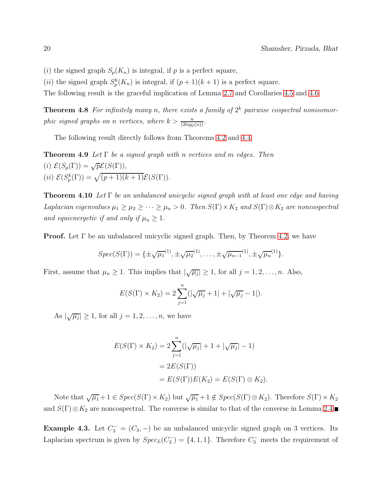- (i) the signed graph  $S_p(K_n)$  is integral, if p is a perfect square,
- (*ii*) the signed graph  $S_p^k(K_n)$  is integral, if  $(p+1)(k+1)$  is a perfect square.

The following result is the graceful implication of Lemma [2.7](#page-4-0) and Corollaries [4.5](#page-17-0) and [4.6.](#page-18-0)

**Theorem 4.8** For infinitely many n, there exists a family of  $2<sup>k</sup>$  pairwise cospectral nonisomorphic signed graphs on n vertices, where  $k > \frac{n}{(2log_2(n))}$ .

The following result directly follows from Theorems [4.2](#page-12-0) and [4.4.](#page-14-1)

**Theorem 4.9** Let  $\Gamma$  be a signed graph with n vertices and m edges. Then (i)  $\mathcal{E}(S_p(\Gamma)) = \sqrt{p}\mathcal{E}(S(\Gamma)),$ (*ii*)  $\mathcal{E}(S_p^k(\Gamma)) = \sqrt{(p+1)(k+1)}\mathcal{E}(S(\Gamma)).$ 

**Theorem 4.10** Let  $\Gamma$  be an unbalanced unicyclic signed graph with at least one edge and having Laplacian eigenvalues  $\mu_1 \geq \mu_2 \geq \cdots \geq \mu_n > 0$ . Then  $S(\Gamma) \times K_2$  and  $S(\Gamma) \otimes K_2$  are noncospectral and equienergetic if and only if  $\mu_n \geq 1$ .

**Proof.** Let  $\Gamma$  be an unbalanced unicyclic signed graph. Then, by Theorem [4.2,](#page-12-0) we have

<span id="page-19-0"></span>
$$
Spec(S(\Gamma)) = {\pm \sqrt{\mu_1}}^{(1)}, {\pm \sqrt{\mu_2}}^{(1)}, \ldots, {\pm \sqrt{\mu_{n-1}}}^{(1)}, {\pm \sqrt{\mu_n}}^{(1)}.
$$

First, assume that  $\mu_n \geq 1$ . This implies that  $|\sqrt{\mu_j}| \geq 1$ , for all  $j = 1, 2, ..., n$ . Also,

$$
E(S(\Gamma) \times K_2) = 2 \sum_{j=1}^{n} (|\sqrt{\mu_j} + 1| + |\sqrt{\mu_j} - 1|).
$$

As  $|\sqrt{\mu_j}| \ge 1$ , for all  $j = 1, 2, \ldots, n$ , we have

$$
E(S(\Gamma) \times K_2) = 2 \sum_{j=1}^{n} (|\sqrt{\mu_j}| + 1 + |\sqrt{\mu_j}| - 1)
$$
  
= 2E(S(\Gamma))  
= E(S(\Gamma))E(K\_2) = E(S(\Gamma) \otimes K\_2)

Note that  $\sqrt{\mu_1} + 1 \in Spec(S(\Gamma) \times K_2)$  but  $\sqrt{\mu_1} + 1 \notin Spec(S(\Gamma) \otimes K_2)$ . Therefore  $S(\Gamma) \times K_2$ and  $S(\Gamma)\otimes K_2$  are noncospectral. The converse is similar to that of the converse in Lemma [2.4.](#page-3-3)

**Example 4.3.** Let  $C_3^- = (C_3, -)$  be an unbalanced unicyclic signed graph on 3 vertices. Its Laplacian spectrum is given by  $Spec_L(C_3^-) = \{4, 1, 1\}$ . Therefore  $C_3^-$  meets the requirement of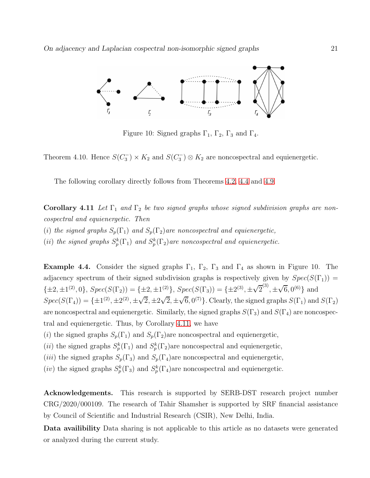

<span id="page-20-0"></span>Figure 10: Signed graphs  $\Gamma_1$ ,  $\Gamma_2$ ,  $\Gamma_3$  and  $\Gamma_4$ .

Theorem 4.10. Hence  $S(C_3^-) \times K_2$  and  $S(C_3^-) \otimes K_2$  are noncospectral and equienergetic.

The following corollary directly follows from Theorems [4.2,](#page-12-0) [4.4](#page-14-1) and [4.9.](#page-19-0)

**Corollary 4.11** Let  $\Gamma_1$  and  $\Gamma_2$  be two signed graphs whose signed subdivision graphs are noncospectral and equienergetic. Then (i) the signed graphs  $S_p(\Gamma_1)$  and  $S_p(\Gamma_2)$  are noncospectral and equienergetic, (ii) the signed graphs  $S_p^k(\Gamma_1)$  and  $S_p^k(\Gamma_2)$  are noncospectral and equienergetic.

**Example 4.4.** Consider the signed graphs  $\Gamma_1$ ,  $\Gamma_2$ ,  $\Gamma_3$  and  $\Gamma_4$  as shown in Figure 10. The adjacency spectrum of their signed subdivision graphs is respectively given by  $Spec(S(\Gamma_1))$  =  $\{\pm 2, \pm 1^{(2)}, 0\}, Spec(S(\Gamma_2)) = \{\pm 2, \pm 1^{(2)}\}, Spec(S(\Gamma_3)) = \{\pm 2^{(3)}, \pm \sqrt{2}^{(3)}, \pm \sqrt{6}, 0^{(6)}\}$  and  $Spec(S(\Gamma_4)) = {\pm 1}^{(2)}, \pm 2^{(2)}, \pm \sqrt{2}, \pm 2\sqrt{2}, \pm \sqrt{6}, 0^{(7)}$ . Clearly, the signed graphs  $S(\Gamma_1)$  and  $S(\Gamma_2)$ are noncospectral and equienergetic. Similarly, the signed graphs  $S(\Gamma_3)$  and  $S(\Gamma_4)$  are noncospectral and equienergetic. Thus, by Corollary [4.11,](#page-20-0) we have

(i) the signed graphs  $S_p(\Gamma_1)$  and  $S_p(\Gamma_2)$ are noncospectral and equienergetic,

(*ii*) the signed graphs  $S_p^k(\Gamma_1)$  and  $S_p^k(\Gamma_2)$  are noncospectral and equienergetic,

(iii) the signed graphs  $S_p(\Gamma_3)$  and  $S_p(\Gamma_4)$ are noncospectral and equienergetic,

(*iv*) the signed graphs  $S_p^k(\Gamma_3)$  and  $S_p^k(\Gamma_4)$  are noncospectral and equienergetic.

Acknowledgements. This research is supported by SERB-DST research project number CRG/2020/000109. The research of Tahir Shamsher is supported by SRF financial assistance by Council of Scientific and Industrial Research (CSIR), New Delhi, India.

Data availibility Data sharing is not applicable to this article as no datasets were generated or analyzed during the current study.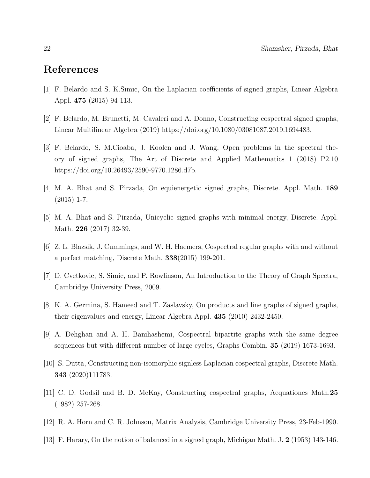### <span id="page-21-7"></span>References

- <span id="page-21-8"></span>[1] F. Belardo and S. K.Simic, On the Laplacian coefficients of signed graphs, Linear Algebra Appl. 475 (2015) 94-113.
- <span id="page-21-0"></span>[2] F. Belardo, M. Brunetti, M. Cavaleri and A. Donno, Constructing cospectral signed graphs, Linear Multilinear Algebra (2019) https://doi.org/10.1080/03081087.2019.1694483.
- [3] F. Belardo, S. M.Cioaba, J. Koolen and J. Wang, Open problems in the spectral theory of signed graphs, The Art of Discrete and Applied Mathematics 1 (2018) P2.10 https://doi.org/10.26493/2590-9770.1286.d7b.
- <span id="page-21-4"></span>[4] M. A. Bhat and S. Pirzada, On equienergetic signed graphs, Discrete. Appl. Math. 189  $(2015)$  1-7.
- <span id="page-21-9"></span>[5] M. A. Bhat and S. Pirzada, Unicyclic signed graphs with minimal energy, Discrete. Appl. Math. **226** (2017) 32-39.
- <span id="page-21-3"></span>[6] Z. L. Blazsik, J. Cummings, and W. H. Haemers, Cospectral regular graphs with and without a perfect matching, Discrete Math. 338(2015) 199-201.
- <span id="page-21-1"></span>[7] D. Cvetkovic, S. Simic, and P. Rowlinson, An Introduction to the Theory of Graph Spectra, Cambridge University Press, 2009.
- <span id="page-21-10"></span>[8] K. A. Germina, S. Hameed and T. Zaslavsky, On products and line graphs of signed graphs, their eigenvalues and energy, Linear Algebra Appl. 435 (2010) 2432-2450.
- <span id="page-21-6"></span>[9] A. Dehghan and A. H. Banihashemi, Cospectral bipartite graphs with the same degree sequences but with different number of large cycles, Graphs Combin. 35 (2019) 1673-1693.
- <span id="page-21-11"></span>[10] S. Dutta, Constructing non-isomorphic signless Laplacian cospectral graphs, Discrete Math. 343 (2020)111783.
- <span id="page-21-5"></span>[11] C. D. Godsil and B. D. McKay, Constructing cospectral graphs, Aequationes Math.25 (1982) 257-268.
- <span id="page-21-2"></span>[12] R. A. Horn and C. R. Johnson, Matrix Analysis, Cambridge University Press, 23-Feb-1990.
- [13] F. Harary, On the notion of balanced in a signed graph, Michigan Math. J. 2 (1953) 143-146.